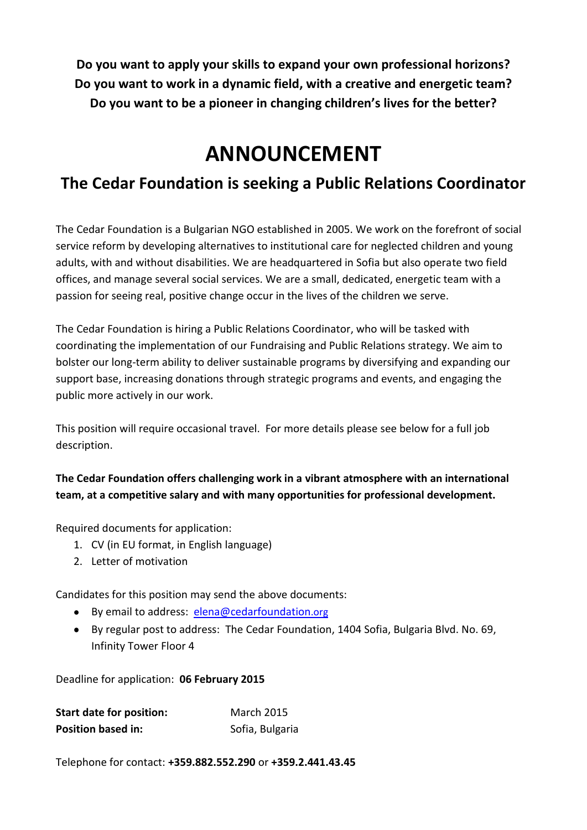**Do you want to apply your skills to expand your own professional horizons? Do you want to work in a dynamic field, with a creative and energetic team? Do you want to be a pioneer in changing children's lives for the better?**

# **ANNOUNCEMENT**

## **The Cedar Foundation is seeking a Public Relations Coordinator**

The Cedar Foundation is a Bulgarian NGO established in 2005. We work on the forefront of social service reform by developing alternatives to institutional care for neglected children and young adults, with and without disabilities. We are headquartered in Sofia but also operate two field offices, and manage several social services. We are a small, dedicated, energetic team with a passion for seeing real, positive change occur in the lives of the children we serve.

The Cedar Foundation is hiring a Public Relations Coordinator, who will be tasked with coordinating the implementation of our Fundraising and Public Relations strategy. We aim to bolster our long-term ability to deliver sustainable programs by diversifying and expanding our support base, increasing donations through strategic programs and events, and engaging the public more actively in our work.

This position will require occasional travel. For more details please see below for a full job description.

**The Cedar Foundation offers challenging work in a vibrant atmosphere with an international team, at a competitive salary and with many opportunities for professional development.**

Required documents for application:

- 1. CV (in EU format, in English language)
- 2. Letter of motivation

Candidates for this position may send the above documents:

- By email to address: [elena@cedarfoundation](mailto:elena@cedarfoundation.org).org
- By regular post to address: The Cedar Foundation, 1404 Sofia, Bulgaria Blvd. No. 69, Infinity Tower Floor 4

Deadline for application: **06 February 2015**

| <b>Start date for position:</b> | <b>March 2015</b> |
|---------------------------------|-------------------|
| <b>Position based in:</b>       | Sofia, Bulgaria   |

Telephone for contact: **+359.882.552.290** or **+359.2.441.43.45**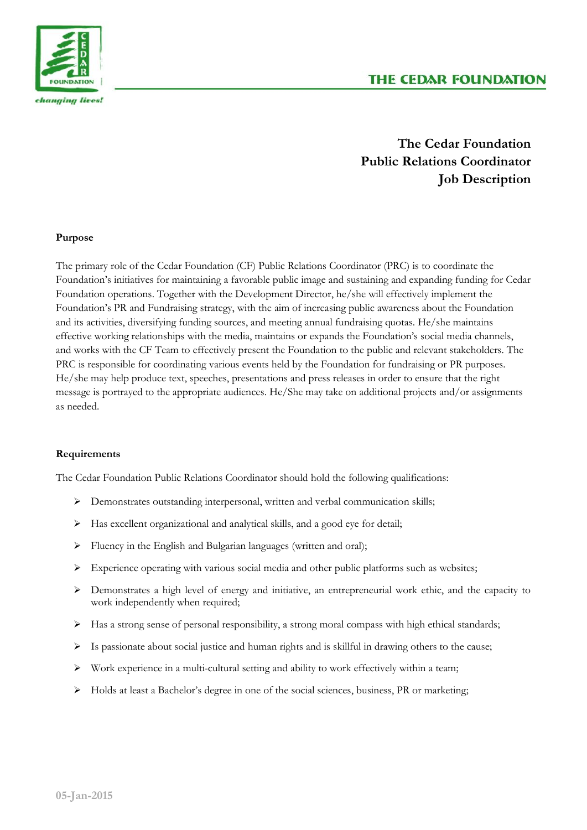

### **The Cedar Foundation Public Relations Coordinator Job Description**

#### **Purpose**

The primary role of the Cedar Foundation (CF) Public Relations Coordinator (PRC) is to coordinate the Foundation's initiatives for maintaining a favorable public image and sustaining and expanding funding for Cedar Foundation operations. Together with the Development Director, he/she will effectively implement the Foundation's PR and Fundraising strategy, with the aim of increasing public awareness about the Foundation and its activities, diversifying funding sources, and meeting annual fundraising quotas. He/she maintains effective working relationships with the media, maintains or expands the Foundation's social media channels, and works with the CF Team to effectively present the Foundation to the public and relevant stakeholders. The PRC is responsible for coordinating various events held by the Foundation for fundraising or PR purposes. He/she may help produce text, speeches, presentations and press releases in order to ensure that the right message is portrayed to the appropriate audiences. He/She may take on additional projects and/or assignments as needed.

#### **Requirements**

The Cedar Foundation Public Relations Coordinator should hold the following qualifications:

- Demonstrates outstanding interpersonal, written and verbal communication skills;
- $\triangleright$  Has excellent organizational and analytical skills, and a good eye for detail;
- Fluency in the English and Bulgarian languages (written and oral);
- $\triangleright$  Experience operating with various social media and other public platforms such as websites;
- Demonstrates a high level of energy and initiative, an entrepreneurial work ethic, and the capacity to work independently when required;
- $\triangleright$  Has a strong sense of personal responsibility, a strong moral compass with high ethical standards;
- $\triangleright$  Is passionate about social justice and human rights and is skillful in drawing others to the cause;
- $\triangleright$  Work experience in a multi-cultural setting and ability to work effectively within a team;
- $\triangleright$  Holds at least a Bachelor's degree in one of the social sciences, business, PR or marketing;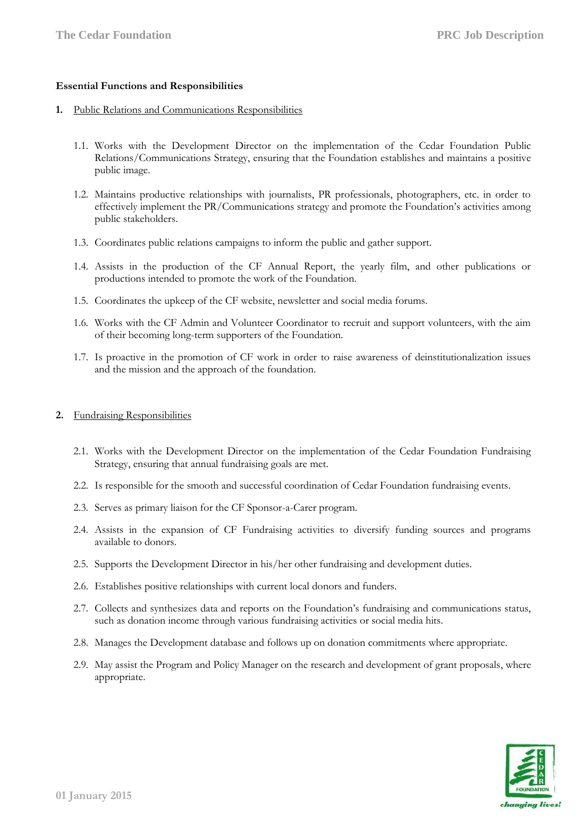#### **Essential Functions and Responsibilities**

#### **1.** Public Relations and Communications Responsibilities

- 1.1. Works with the Development Director on the implementation of the Cedar Foundation Public Relations/Communications Strategy, ensuring that the Foundation establishes and maintains a positive public image.
- 1.2. Maintains productive relationships with journalists, PR professionals, photographers, etc. in order to effectively implement the PR/Communications strategy and promote the Foundation's activities among public stakeholders.
- 1.3. Coordinates public relations campaigns to inform the public and gather support.
- 1.4. Assists in the production of the CF Annual Report, the yearly film, and other publications or productions intended to promote the work of the Foundation.
- 1.5. Coordinates the upkeep of the CF website, newsletter and social media forums.
- 1.6. Works with the CF Admin and Volunteer Coordinator to recruit and support volunteers, with the aim of their becoming long-term supporters of the Foundation.
- 1.7. Is proactive in the promotion of CF work in order to raise awareness of deinstitutionalization issues and the mission and the approach of the foundation.

#### **2.** Fundraising Responsibilities

- 2.1. Works with the Development Director on the implementation of the Cedar Foundation Fundraising Strategy, ensuring that annual fundraising goals are met.
- 2.2. Is responsible for the smooth and successful coordination of Cedar Foundation fundraising events.
- 2.3. Serves as primary liaison for the CF Sponsor-a-Carer program.
- 2.4. Assists in the expansion of CF Fundraising activities to diversify funding sources and programs available to donors.
- 2.5. Supports the Development Director in his/her other fundraising and development duties.
- 2.6. Establishes positive relationships with current local donors and funders.
- 2.7. Collects and synthesizes data and reports on the Foundation's fundraising and communications status, such as donation income through various fundraising activities or social media hits.
- 2.8. Manages the Development database and follows up on donation commitments where appropriate.
- 2.9. May assist the Program and Policy Manager on the research and development of grant proposals, where appropriate.